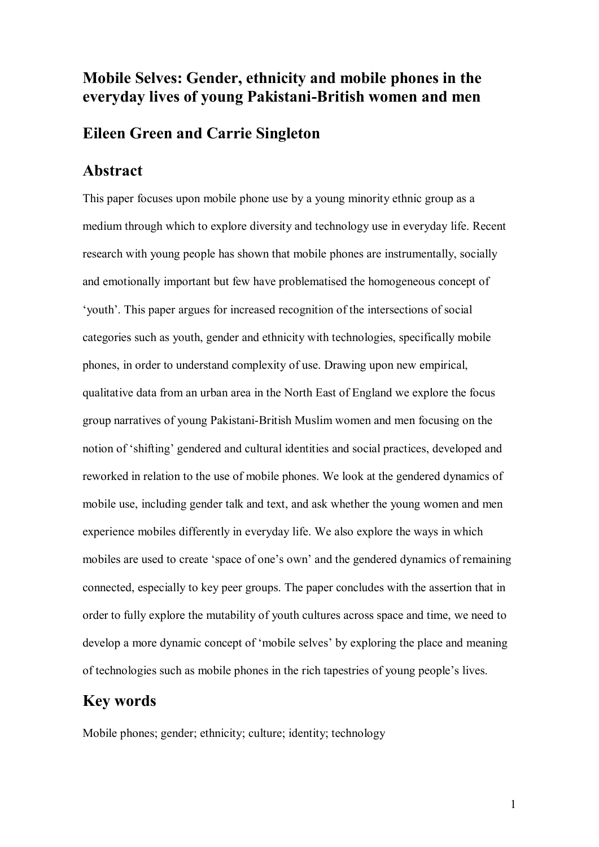# **Mobile Selves: Gender, ethnicity and mobile phones in the everyday lives of young Pakistani-British women and men**

## **Eileen Green and Carrie Singleton**

#### **Abstract**

This paper focuses upon mobile phone use by a young minority ethnic group as a medium through which to explore diversity and technology use in everyday life. Recent research with young people has shown that mobile phones are instrumentally, socially and emotionally important but few have problematised the homogeneous concept of "youth". This paper argues for increased recognition of the intersections of social categories such as youth, gender and ethnicity with technologies, specifically mobile phones, in order to understand complexity of use. Drawing upon new empirical, qualitative data from an urban area in the North East of England we explore the focus group narratives of young Pakistani-British Muslim women and men focusing on the notion of "shifting" gendered and cultural identities and social practices, developed and reworked in relation to the use of mobile phones. We look at the gendered dynamics of mobile use, including gender talk and text, and ask whether the young women and men experience mobiles differently in everyday life. We also explore the ways in which mobiles are used to create 'space of one's own' and the gendered dynamics of remaining connected, especially to key peer groups. The paper concludes with the assertion that in order to fully explore the mutability of youth cultures across space and time, we need to develop a more dynamic concept of "mobile selves" by exploring the place and meaning of technologies such as mobile phones in the rich tapestries of young people"s lives.

#### **Key words**

Mobile phones; gender; ethnicity; culture; identity; technology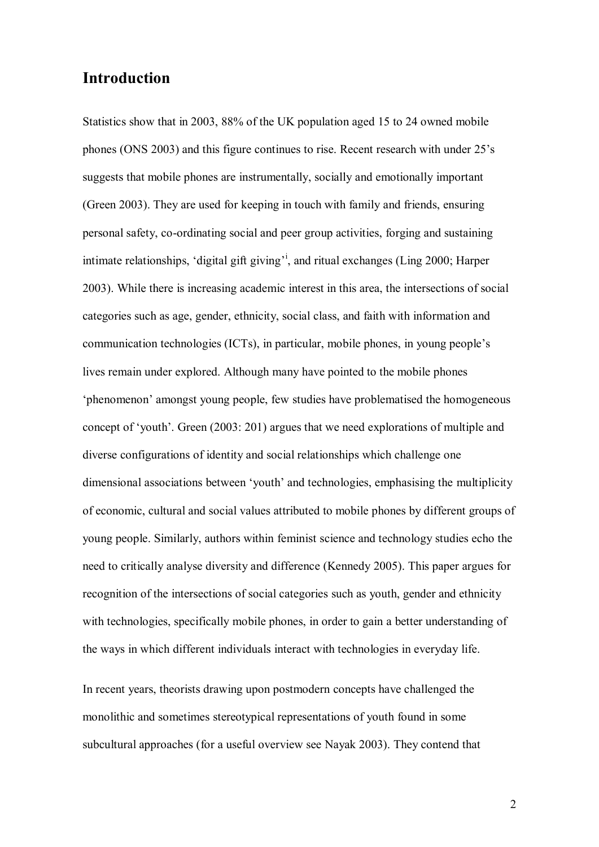## **Introduction**

Statistics show that in 2003, 88% of the UK population aged 15 to 24 owned mobile phones (ONS 2003) and this figure continues to rise. Recent research with under 25"s suggests that mobile phones are instrumentally, socially and emotionally important (Green 2003). They are used for keeping in touch with family and friends, ensuring personal safety, co-ordinating social and peer group activities, forging and sustaining intimate relationships, 'digital gift giving'<sup>i</sup>, and ritual exchanges (Ling 2000; Harper 2003). While there is increasing academic interest in this area, the intersections of social categories such as age, gender, ethnicity, social class, and faith with information and communication technologies (ICTs), in particular, mobile phones, in young people"s lives remain under explored. Although many have pointed to the mobile phones "phenomenon" amongst young people, few studies have problematised the homogeneous concept of "youth". Green (2003: 201) argues that we need explorations of multiple and diverse configurations of identity and social relationships which challenge one dimensional associations between "youth" and technologies, emphasising the multiplicity of economic, cultural and social values attributed to mobile phones by different groups of young people. Similarly, authors within feminist science and technology studies echo the need to critically analyse diversity and difference (Kennedy 2005). This paper argues for recognition of the intersections of social categories such as youth, gender and ethnicity with technologies, specifically mobile phones, in order to gain a better understanding of the ways in which different individuals interact with technologies in everyday life.

In recent years, theorists drawing upon postmodern concepts have challenged the monolithic and sometimes stereotypical representations of youth found in some subcultural approaches (for a useful overview see Nayak 2003). They contend that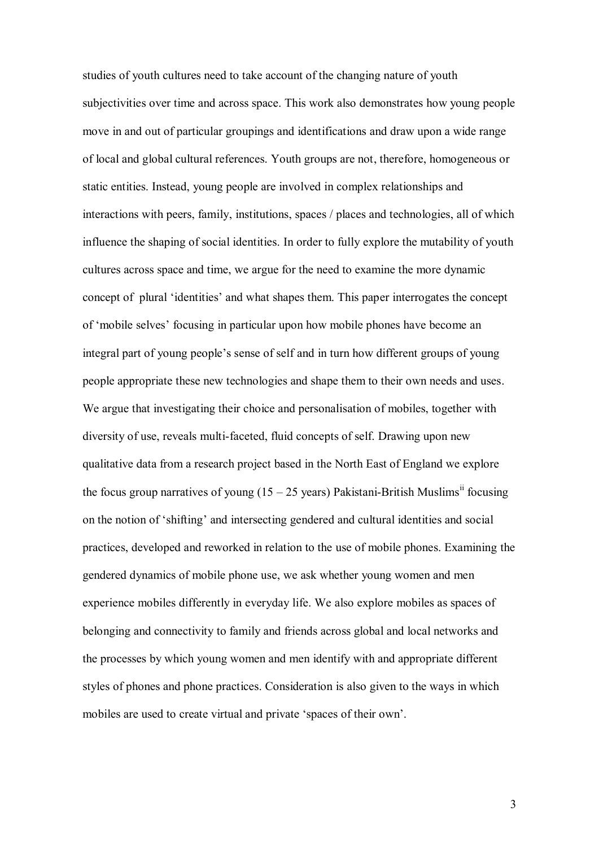studies of youth cultures need to take account of the changing nature of youth subjectivities over time and across space. This work also demonstrates how young people move in and out of particular groupings and identifications and draw upon a wide range of local and global cultural references. Youth groups are not, therefore, homogeneous or static entities. Instead, young people are involved in complex relationships and interactions with peers, family, institutions, spaces / places and technologies, all of which influence the shaping of social identities. In order to fully explore the mutability of youth cultures across space and time, we argue for the need to examine the more dynamic concept of plural "identities" and what shapes them. This paper interrogates the concept of "mobile selves" focusing in particular upon how mobile phones have become an integral part of young people"s sense of self and in turn how different groups of young people appropriate these new technologies and shape them to their own needs and uses. We argue that investigating their choice and personalisation of mobiles, together with diversity of use, reveals multi-faceted, fluid concepts of self. Drawing upon new qualitative data from a research project based in the North East of England we explore the focus group narratives of young  $(15 - 25$  years) Pakistani-British Muslims<sup>ii</sup> focusing on the notion of "shifting" and intersecting gendered and cultural identities and social practices, developed and reworked in relation to the use of mobile phones. Examining the gendered dynamics of mobile phone use, we ask whether young women and men experience mobiles differently in everyday life. We also explore mobiles as spaces of belonging and connectivity to family and friends across global and local networks and the processes by which young women and men identify with and appropriate different styles of phones and phone practices. Consideration is also given to the ways in which mobiles are used to create virtual and private "spaces of their own".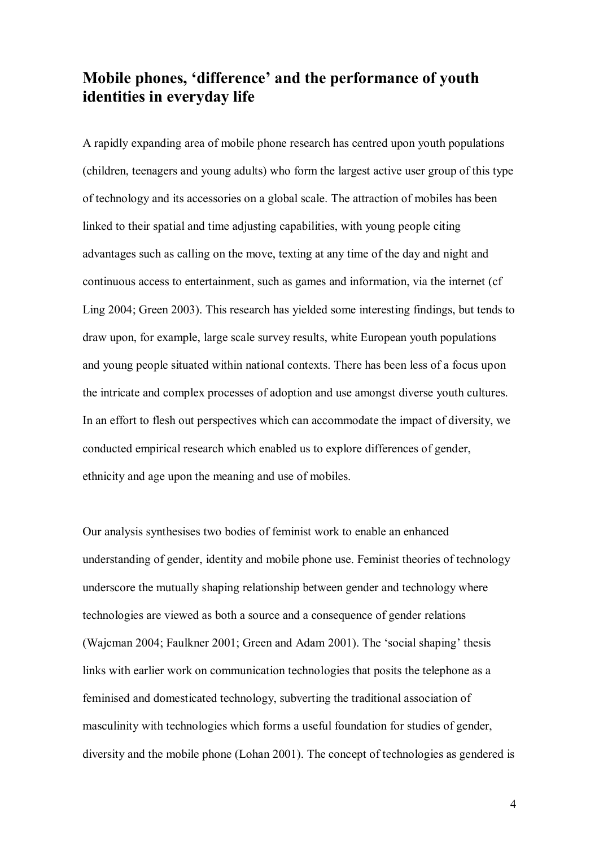# **Mobile phones, 'difference' and the performance of youth identities in everyday life**

A rapidly expanding area of mobile phone research has centred upon youth populations (children, teenagers and young adults) who form the largest active user group of this type of technology and its accessories on a global scale. The attraction of mobiles has been linked to their spatial and time adjusting capabilities, with young people citing advantages such as calling on the move, texting at any time of the day and night and continuous access to entertainment, such as games and information, via the internet (cf Ling 2004; Green 2003). This research has yielded some interesting findings, but tends to draw upon, for example, large scale survey results, white European youth populations and young people situated within national contexts. There has been less of a focus upon the intricate and complex processes of adoption and use amongst diverse youth cultures. In an effort to flesh out perspectives which can accommodate the impact of diversity, we conducted empirical research which enabled us to explore differences of gender, ethnicity and age upon the meaning and use of mobiles.

Our analysis synthesises two bodies of feminist work to enable an enhanced understanding of gender, identity and mobile phone use. Feminist theories of technology underscore the mutually shaping relationship between gender and technology where technologies are viewed as both a source and a consequence of gender relations (Wajcman 2004; Faulkner 2001; Green and Adam 2001). The "social shaping" thesis links with earlier work on communication technologies that posits the telephone as a feminised and domesticated technology, subverting the traditional association of masculinity with technologies which forms a useful foundation for studies of gender, diversity and the mobile phone (Lohan 2001). The concept of technologies as gendered is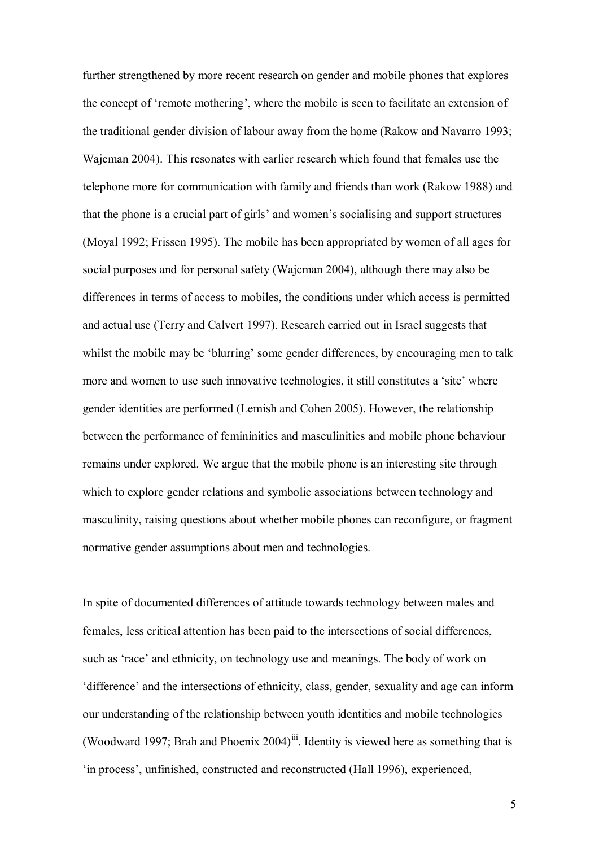further strengthened by more recent research on gender and mobile phones that explores the concept of "remote mothering", where the mobile is seen to facilitate an extension of the traditional gender division of labour away from the home (Rakow and Navarro 1993; Wajcman 2004). This resonates with earlier research which found that females use the telephone more for communication with family and friends than work (Rakow 1988) and that the phone is a crucial part of girls" and women"s socialising and support structures (Moyal 1992; Frissen 1995). The mobile has been appropriated by women of all ages for social purposes and for personal safety (Wajcman 2004), although there may also be differences in terms of access to mobiles, the conditions under which access is permitted and actual use (Terry and Calvert 1997). Research carried out in Israel suggests that whilst the mobile may be 'blurring' some gender differences, by encouraging men to talk more and women to use such innovative technologies, it still constitutes a 'site' where gender identities are performed (Lemish and Cohen 2005). However, the relationship between the performance of femininities and masculinities and mobile phone behaviour remains under explored. We argue that the mobile phone is an interesting site through which to explore gender relations and symbolic associations between technology and masculinity, raising questions about whether mobile phones can reconfigure, or fragment normative gender assumptions about men and technologies.

In spite of documented differences of attitude towards technology between males and females, less critical attention has been paid to the intersections of social differences, such as 'race' and ethnicity, on technology use and meanings. The body of work on "difference" and the intersections of ethnicity, class, gender, sexuality and age can inform our understanding of the relationship between youth identities and mobile technologies (Woodward 1997; Brah and Phoenix  $2004$ <sup>iii</sup>. Identity is viewed here as something that is 'in process', unfinished, constructed and reconstructed (Hall 1996), experienced,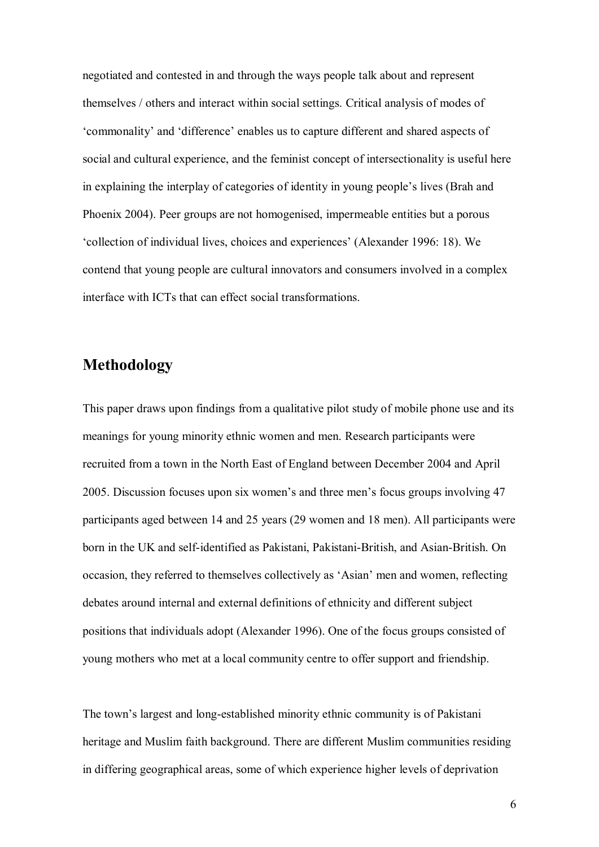negotiated and contested in and through the ways people talk about and represent themselves / others and interact within social settings. Critical analysis of modes of "commonality" and "difference" enables us to capture different and shared aspects of social and cultural experience, and the feminist concept of intersectionality is useful here in explaining the interplay of categories of identity in young people"s lives (Brah and Phoenix 2004). Peer groups are not homogenised, impermeable entities but a porous "collection of individual lives, choices and experiences" (Alexander 1996: 18). We contend that young people are cultural innovators and consumers involved in a complex interface with ICTs that can effect social transformations.

## **Methodology**

This paper draws upon findings from a qualitative pilot study of mobile phone use and its meanings for young minority ethnic women and men. Research participants were recruited from a town in the North East of England between December 2004 and April 2005. Discussion focuses upon six women"s and three men"s focus groups involving 47 participants aged between 14 and 25 years (29 women and 18 men). All participants were born in the UK and self-identified as Pakistani, Pakistani-British, and Asian-British. On occasion, they referred to themselves collectively as "Asian" men and women, reflecting debates around internal and external definitions of ethnicity and different subject positions that individuals adopt (Alexander 1996). One of the focus groups consisted of young mothers who met at a local community centre to offer support and friendship.

The town"s largest and long-established minority ethnic community is of Pakistani heritage and Muslim faith background. There are different Muslim communities residing in differing geographical areas, some of which experience higher levels of deprivation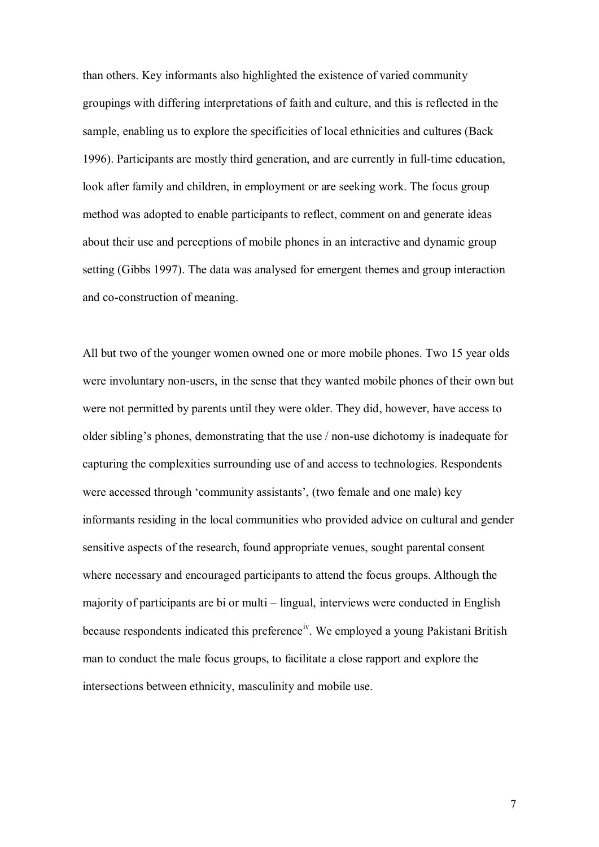than others. Key informants also highlighted the existence of varied community groupings with differing interpretations of faith and culture, and this is reflected in the sample, enabling us to explore the specificities of local ethnicities and cultures (Back 1996). Participants are mostly third generation, and are currently in full-time education, look after family and children, in employment or are seeking work. The focus group method was adopted to enable participants to reflect, comment on and generate ideas about their use and perceptions of mobile phones in an interactive and dynamic group setting (Gibbs 1997). The data was analysed for emergent themes and group interaction and co-construction of meaning.

All but two of the younger women owned one or more mobile phones. Two 15 year olds were involuntary non-users, in the sense that they wanted mobile phones of their own but were not permitted by parents until they were older. They did, however, have access to older sibling"s phones, demonstrating that the use / non-use dichotomy is inadequate for capturing the complexities surrounding use of and access to technologies. Respondents were accessed through 'community assistants', (two female and one male) key informants residing in the local communities who provided advice on cultural and gender sensitive aspects of the research, found appropriate venues, sought parental consent where necessary and encouraged participants to attend the focus groups. Although the majority of participants are bi or multi – lingual, interviews were conducted in English because respondents indicated this preference<sup>iv</sup>. We employed a young Pakistani British man to conduct the male focus groups, to facilitate a close rapport and explore the intersections between ethnicity, masculinity and mobile use.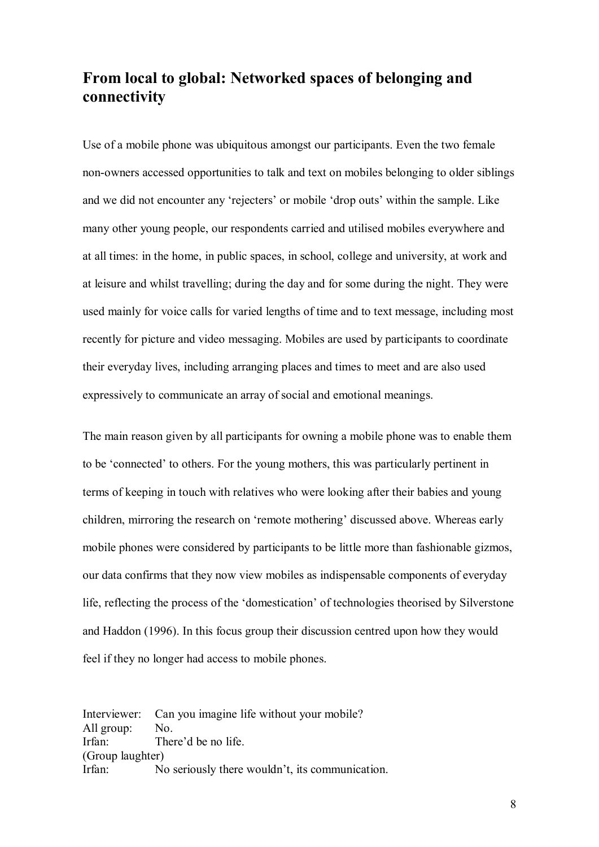# **From local to global: Networked spaces of belonging and connectivity**

Use of a mobile phone was ubiquitous amongst our participants. Even the two female non-owners accessed opportunities to talk and text on mobiles belonging to older siblings and we did not encounter any "rejecters" or mobile "drop outs" within the sample. Like many other young people, our respondents carried and utilised mobiles everywhere and at all times: in the home, in public spaces, in school, college and university, at work and at leisure and whilst travelling; during the day and for some during the night. They were used mainly for voice calls for varied lengths of time and to text message, including most recently for picture and video messaging. Mobiles are used by participants to coordinate their everyday lives, including arranging places and times to meet and are also used expressively to communicate an array of social and emotional meanings.

The main reason given by all participants for owning a mobile phone was to enable them to be "connected" to others. For the young mothers, this was particularly pertinent in terms of keeping in touch with relatives who were looking after their babies and young children, mirroring the research on 'remote mothering' discussed above. Whereas early mobile phones were considered by participants to be little more than fashionable gizmos, our data confirms that they now view mobiles as indispensable components of everyday life, reflecting the process of the "domestication" of technologies theorised by Silverstone and Haddon (1996). In this focus group their discussion centred upon how they would feel if they no longer had access to mobile phones.

Interviewer: Can you imagine life without your mobile? All group: No. Irfan: There"d be no life. (Group laughter) Irfan: No seriously there wouldn"t, its communication.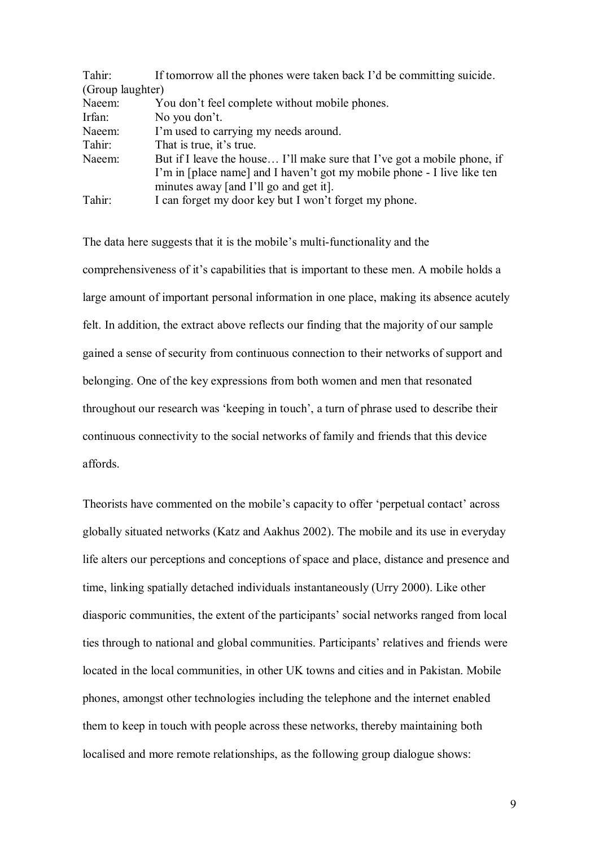| Tahir:           | If to morrow all the phones were taken back I'd be committing suicide.   |
|------------------|--------------------------------------------------------------------------|
| (Group laughter) |                                                                          |
| Naeem:           | You don't feel complete without mobile phones.                           |
| Irfan:           | No you don't.                                                            |
| Naeem:           | I'm used to carrying my needs around.                                    |
| Tahir:           | That is true, it's true.                                                 |
| Naeem:           | But if I leave the house I'll make sure that I've got a mobile phone, if |
|                  | I'm in [place name] and I haven't got my mobile phone - I live like ten  |
|                  | minutes away [and I'll go and get it].                                   |
| Tahir:           | I can forget my door key but I won't forget my phone.                    |

The data here suggests that it is the mobile"s multi-functionality and the comprehensiveness of it"s capabilities that is important to these men. A mobile holds a large amount of important personal information in one place, making its absence acutely felt. In addition, the extract above reflects our finding that the majority of our sample gained a sense of security from continuous connection to their networks of support and belonging. One of the key expressions from both women and men that resonated throughout our research was "keeping in touch", a turn of phrase used to describe their continuous connectivity to the social networks of family and friends that this device affords.

Theorists have commented on the mobile's capacity to offer 'perpetual contact' across globally situated networks (Katz and Aakhus 2002). The mobile and its use in everyday life alters our perceptions and conceptions of space and place, distance and presence and time, linking spatially detached individuals instantaneously (Urry 2000). Like other diasporic communities, the extent of the participants" social networks ranged from local ties through to national and global communities. Participants' relatives and friends were located in the local communities, in other UK towns and cities and in Pakistan. Mobile phones, amongst other technologies including the telephone and the internet enabled them to keep in touch with people across these networks, thereby maintaining both localised and more remote relationships, as the following group dialogue shows: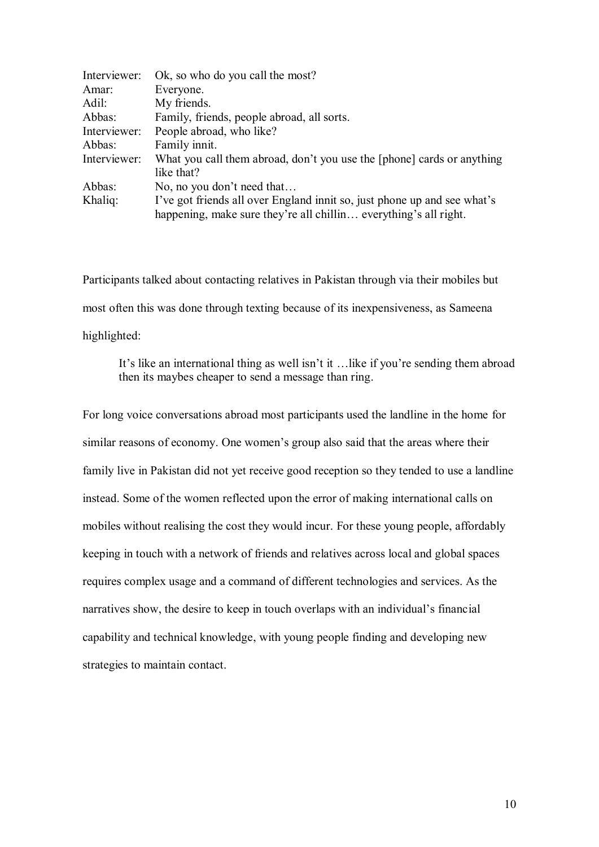| Ok, so who do you call the most?                                                                                                             |
|----------------------------------------------------------------------------------------------------------------------------------------------|
| Everyone.                                                                                                                                    |
| My friends.                                                                                                                                  |
| Family, friends, people abroad, all sorts.                                                                                                   |
| People abroad, who like?                                                                                                                     |
| Family innit.                                                                                                                                |
| What you call them abroad, don't you use the [phone] cards or anything<br>like that?                                                         |
| No, no you don't need that                                                                                                                   |
| I've got friends all over England innit so, just phone up and see what's<br>happening, make sure they're all chillin everything's all right. |
|                                                                                                                                              |

Participants talked about contacting relatives in Pakistan through via their mobiles but most often this was done through texting because of its inexpensiveness, as Sameena highlighted:

It's like an international thing as well isn't it …like if you're sending them abroad then its maybes cheaper to send a message than ring.

For long voice conversations abroad most participants used the landline in the home for similar reasons of economy. One women's group also said that the areas where their family live in Pakistan did not yet receive good reception so they tended to use a landline instead. Some of the women reflected upon the error of making international calls on mobiles without realising the cost they would incur. For these young people, affordably keeping in touch with a network of friends and relatives across local and global spaces requires complex usage and a command of different technologies and services. As the narratives show, the desire to keep in touch overlaps with an individual"s financial capability and technical knowledge, with young people finding and developing new strategies to maintain contact.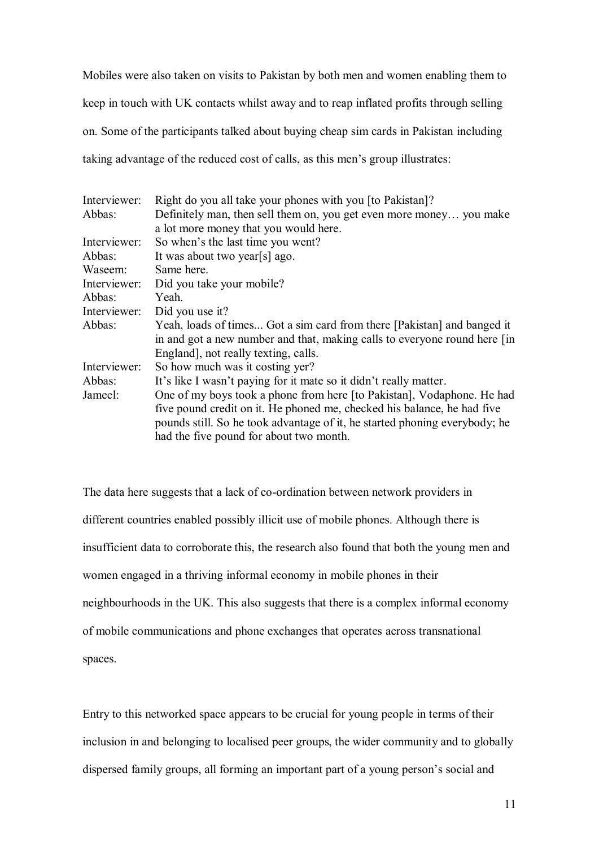Mobiles were also taken on visits to Pakistan by both men and women enabling them to keep in touch with UK contacts whilst away and to reap inflated profits through selling on. Some of the participants talked about buying cheap sim cards in Pakistan including taking advantage of the reduced cost of calls, as this men"s group illustrates:

| Interviewer: | Right do you all take your phones with you [to Pakistan]?                  |
|--------------|----------------------------------------------------------------------------|
| Abbas:       | Definitely man, then sell them on, you get even more money you make        |
|              | a lot more money that you would here.                                      |
| Interviewer: | So when's the last time you went?                                          |
| Abbas:       | It was about two year[s] ago.                                              |
| Waseem:      | Same here.                                                                 |
| Interviewer: | Did you take your mobile?                                                  |
| Abbas:       | Yeah.                                                                      |
| Interviewer: | Did you use it?                                                            |
| Abbas:       | Yeah, loads of times Got a sim card from there [Pakistan] and banged it    |
|              | in and got a new number and that, making calls to everyone round here [in] |
|              | England], not really texting, calls.                                       |
| Interviewer: | So how much was it costing yer?                                            |
| Abbas:       | It's like I wasn't paying for it mate so it didn't really matter.          |
| Jameel:      | One of my boys took a phone from here [to Pakistan], Vodaphone. He had     |
|              | five pound credit on it. He phoned me, checked his balance, he had five    |
|              | pounds still. So he took advantage of it, he started phoning everybody; he |
|              | had the five pound for about two month.                                    |

The data here suggests that a lack of co-ordination between network providers in different countries enabled possibly illicit use of mobile phones. Although there is insufficient data to corroborate this, the research also found that both the young men and women engaged in a thriving informal economy in mobile phones in their neighbourhoods in the UK. This also suggests that there is a complex informal economy of mobile communications and phone exchanges that operates across transnational spaces.

Entry to this networked space appears to be crucial for young people in terms of their inclusion in and belonging to localised peer groups, the wider community and to globally dispersed family groups, all forming an important part of a young person"s social and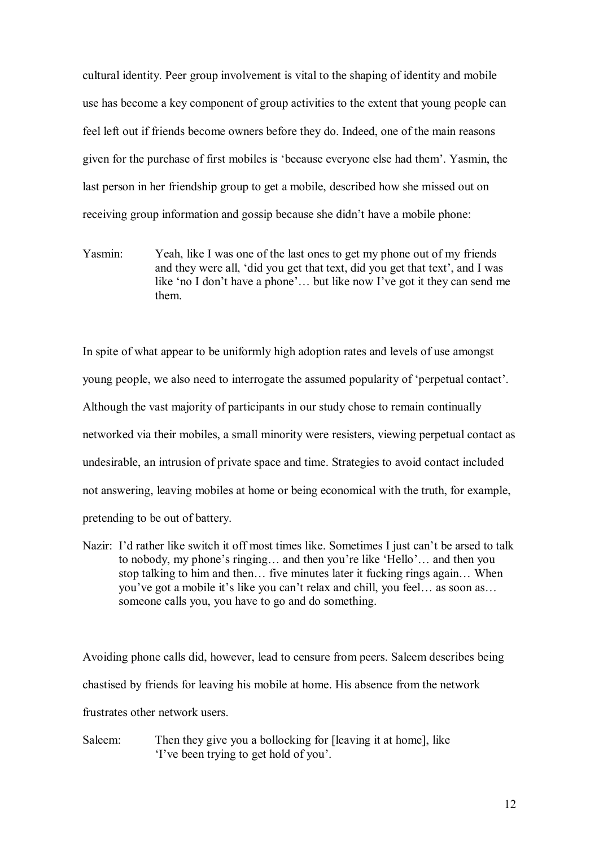cultural identity. Peer group involvement is vital to the shaping of identity and mobile use has become a key component of group activities to the extent that young people can feel left out if friends become owners before they do. Indeed, one of the main reasons given for the purchase of first mobiles is "because everyone else had them". Yasmin, the last person in her friendship group to get a mobile, described how she missed out on receiving group information and gossip because she didn"t have a mobile phone:

Yasmin: Yeah, like I was one of the last ones to get my phone out of my friends and they were all, 'did you get that text, did you get that text', and I was like 'no I don't have a phone'... but like now I've got it they can send me them.

In spite of what appear to be uniformly high adoption rates and levels of use amongst young people, we also need to interrogate the assumed popularity of "perpetual contact". Although the vast majority of participants in our study chose to remain continually networked via their mobiles, a small minority were resisters, viewing perpetual contact as undesirable, an intrusion of private space and time. Strategies to avoid contact included not answering, leaving mobiles at home or being economical with the truth, for example, pretending to be out of battery.

Nazir: I"d rather like switch it off most times like. Sometimes I just can"t be arsed to talk to nobody, my phone"s ringing… and then you"re like "Hello"… and then you stop talking to him and then… five minutes later it fucking rings again… When you"ve got a mobile it"s like you can"t relax and chill, you feel… as soon as… someone calls you, you have to go and do something.

Avoiding phone calls did, however, lead to censure from peers. Saleem describes being chastised by friends for leaving his mobile at home. His absence from the network frustrates other network users.

Saleem: Then they give you a bollocking for [leaving it at home], like "I"ve been trying to get hold of you".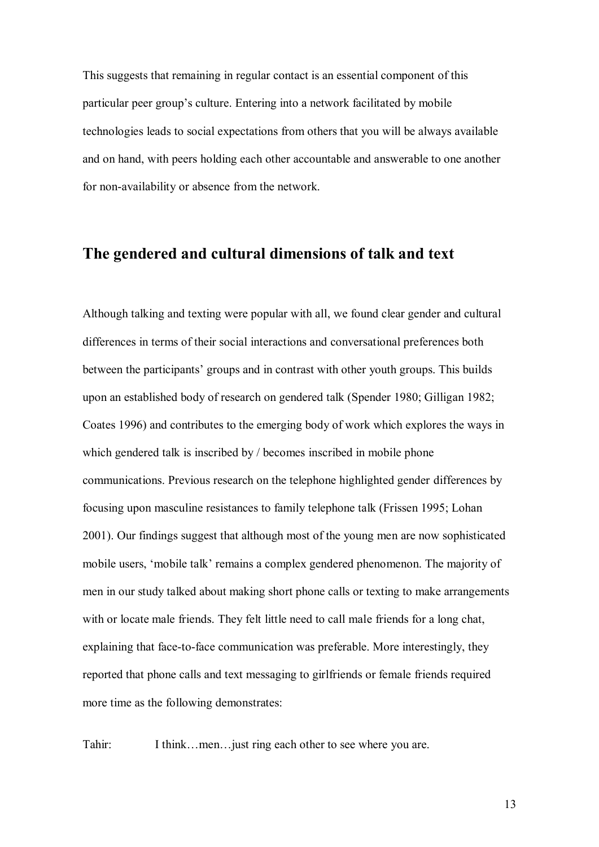This suggests that remaining in regular contact is an essential component of this particular peer group"s culture. Entering into a network facilitated by mobile technologies leads to social expectations from others that you will be always available and on hand, with peers holding each other accountable and answerable to one another for non-availability or absence from the network.

## **The gendered and cultural dimensions of talk and text**

Although talking and texting were popular with all, we found clear gender and cultural differences in terms of their social interactions and conversational preferences both between the participants' groups and in contrast with other youth groups. This builds upon an established body of research on gendered talk (Spender 1980; Gilligan 1982; Coates 1996) and contributes to the emerging body of work which explores the ways in which gendered talk is inscribed by / becomes inscribed in mobile phone communications. Previous research on the telephone highlighted gender differences by focusing upon masculine resistances to family telephone talk (Frissen 1995; Lohan 2001). Our findings suggest that although most of the young men are now sophisticated mobile users, "mobile talk" remains a complex gendered phenomenon. The majority of men in our study talked about making short phone calls or texting to make arrangements with or locate male friends. They felt little need to call male friends for a long chat, explaining that face-to-face communication was preferable. More interestingly, they reported that phone calls and text messaging to girlfriends or female friends required more time as the following demonstrates:

Tahir: I think...men... just ring each other to see where you are.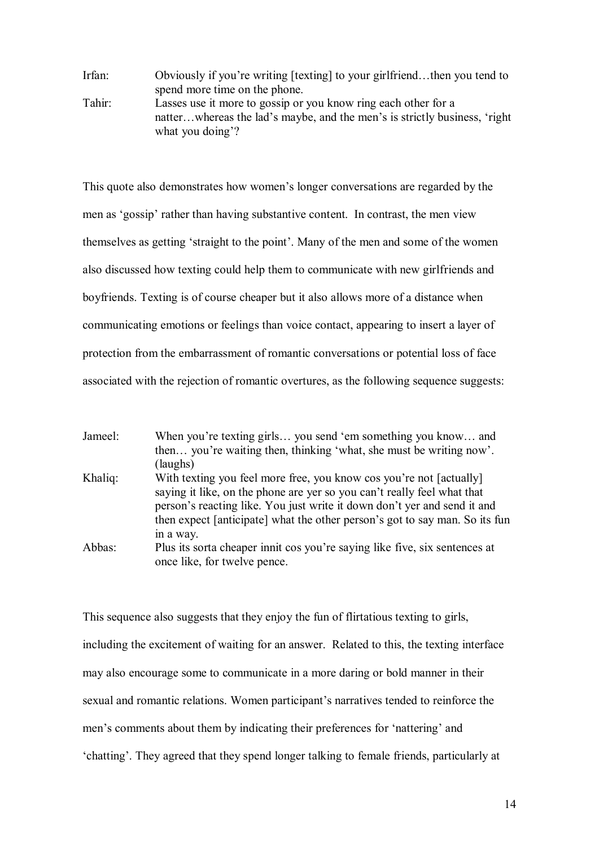Irfan: Obviously if you"re writing [texting] to your girlfriend…then you tend to spend more time on the phone. Tahir: Lasses use it more to gossip or you know ring each other for a natter…whereas the lad's maybe, and the men's is strictly business, 'right' what you doing??

This quote also demonstrates how women"s longer conversations are regarded by the men as "gossip" rather than having substantive content. In contrast, the men view themselves as getting "straight to the point". Many of the men and some of the women also discussed how texting could help them to communicate with new girlfriends and boyfriends. Texting is of course cheaper but it also allows more of a distance when communicating emotions or feelings than voice contact, appearing to insert a layer of protection from the embarrassment of romantic conversations or potential loss of face associated with the rejection of romantic overtures, as the following sequence suggests:

Jameel: When you"re texting girls… you send "em something you know… and then... you're waiting then, thinking 'what, she must be writing now'. (laughs) Khaliq: With texting you feel more free, you know cos you're not [actually] saying it like, on the phone are yer so you can't really feel what that person"s reacting like. You just write it down don"t yer and send it and then expect [anticipate] what the other person"s got to say man. So its fun in a way. Abbas: Plus its sorta cheaper innit cos you"re saying like five, six sentences at once like, for twelve pence.

This sequence also suggests that they enjoy the fun of flirtatious texting to girls, including the excitement of waiting for an answer. Related to this, the texting interface may also encourage some to communicate in a more daring or bold manner in their sexual and romantic relations. Women participant"s narratives tended to reinforce the men's comments about them by indicating their preferences for 'nattering' and "chatting". They agreed that they spend longer talking to female friends, particularly at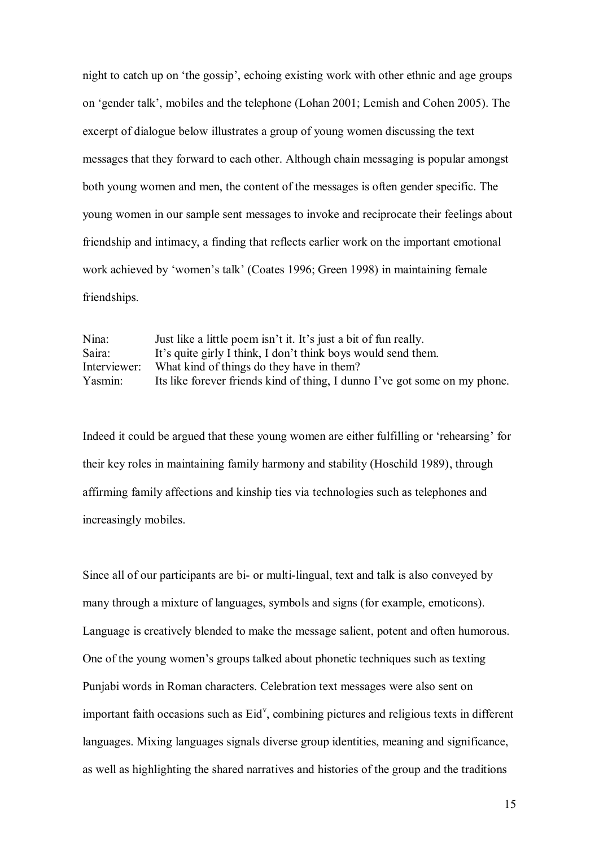night to catch up on "the gossip", echoing existing work with other ethnic and age groups on "gender talk", mobiles and the telephone (Lohan 2001; Lemish and Cohen 2005). The excerpt of dialogue below illustrates a group of young women discussing the text messages that they forward to each other. Although chain messaging is popular amongst both young women and men, the content of the messages is often gender specific. The young women in our sample sent messages to invoke and reciprocate their feelings about friendship and intimacy, a finding that reflects earlier work on the important emotional work achieved by "women"s talk" (Coates 1996; Green 1998) in maintaining female friendships.

Nina: Just like a little poem isn't it. It's just a bit of fun really. Saira: It's quite girly I think, I don't think boys would send them. Interviewer: What kind of things do they have in them? Yasmin: Its like forever friends kind of thing, I dunno I've got some on my phone.

Indeed it could be argued that these young women are either fulfilling or "rehearsing" for their key roles in maintaining family harmony and stability (Hoschild 1989), through affirming family affections and kinship ties via technologies such as telephones and increasingly mobiles.

Since all of our participants are bi- or multi-lingual, text and talk is also conveyed by many through a mixture of languages, symbols and signs (for example, emoticons). Language is creatively blended to make the message salient, potent and often humorous. One of the young women"s groups talked about phonetic techniques such as texting Punjabi words in Roman characters. Celebration text messages were also sent on important faith occasions such as  $Eid<sup>v</sup>$ , combining pictures and religious texts in different languages. Mixing languages signals diverse group identities, meaning and significance, as well as highlighting the shared narratives and histories of the group and the traditions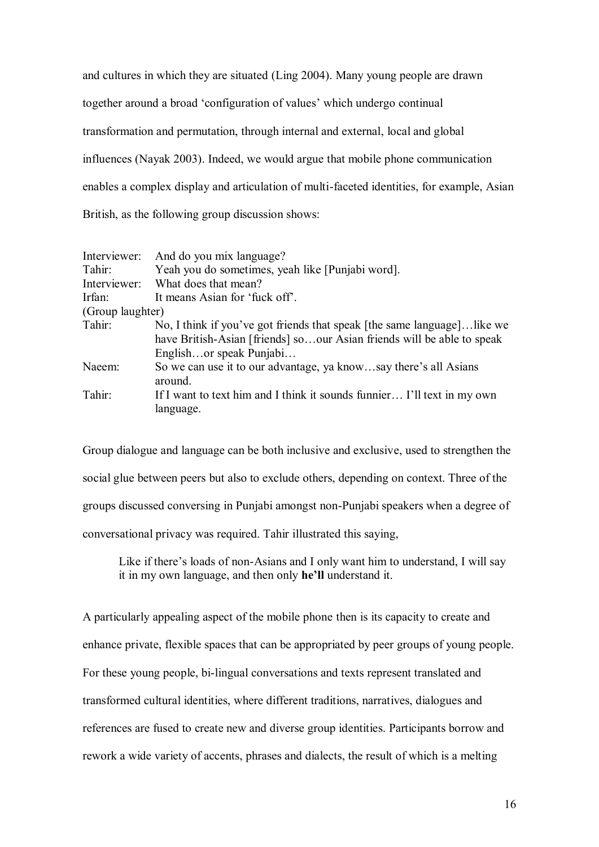and cultures in which they are situated (Ling 2004). Many young people are drawn together around a broad "configuration of values" which undergo continual transformation and permutation, through internal and external, local and global influences (Nayak 2003). Indeed, we would argue that mobile phone communication enables a complex display and articulation of multi-faceted identities, for example, Asian British, as the following group discussion shows:

| Interviewer:     | And do you mix language?                                                                                                                                                     |
|------------------|------------------------------------------------------------------------------------------------------------------------------------------------------------------------------|
| Tahir:           | Yeah you do sometimes, yeah like [Punjabi word].                                                                                                                             |
| Interviewer:     | What does that mean?                                                                                                                                                         |
| Irfan:           | It means Asian for 'fuck off'.                                                                                                                                               |
| (Group laughter) |                                                                                                                                                                              |
| Tahir:           | No, I think if you've got friends that speak [the same language]like we<br>have British-Asian [friends] soour Asian friends will be able to speak<br>Englishor speak Punjabi |
| Naeem:           | So we can use it to our advantage, ya knowsay there's all Asians<br>around.                                                                                                  |
| Tahir:           | If I want to text him and I think it sounds funnier I'll text in my own<br>language.                                                                                         |

Group dialogue and language can be both inclusive and exclusive, used to strengthen the social glue between peers but also to exclude others, depending on context. Three of the groups discussed conversing in Punjabi amongst non-Punjabi speakers when a degree of conversational privacy was required. Tahir illustrated this saying,

Like if there's loads of non-Asians and I only want him to understand, I will say it in my own language, and then only **he'll** understand it.

A particularly appealing aspect of the mobile phone then is its capacity to create and enhance private, flexible spaces that can be appropriated by peer groups of young people. For these young people, bi-lingual conversations and texts represent translated and transformed cultural identities, where different traditions, narratives, dialogues and references are fused to create new and diverse group identities. Participants borrow and rework a wide variety of accents, phrases and dialects, the result of which is a melting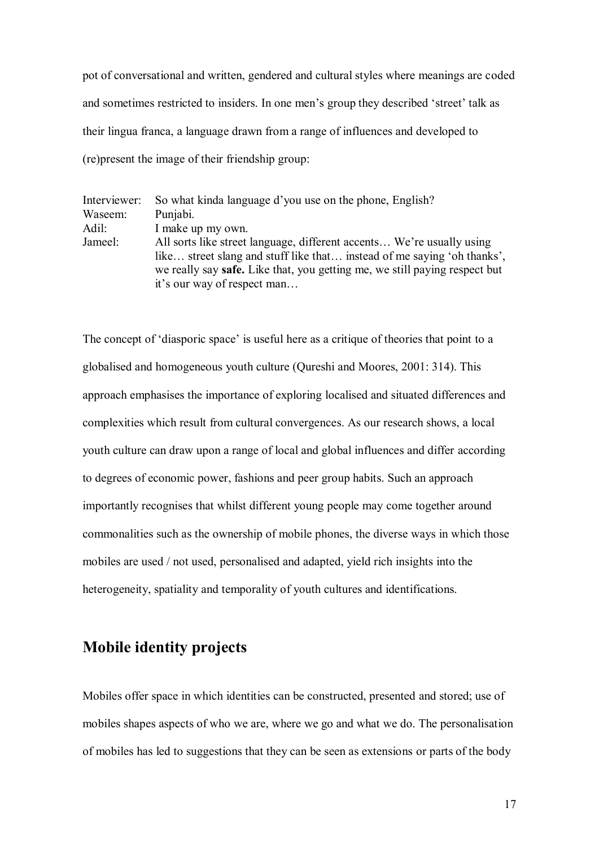pot of conversational and written, gendered and cultural styles where meanings are coded and sometimes restricted to insiders. In one men's group they described 'street' talk as their lingua franca, a language drawn from a range of influences and developed to (re)present the image of their friendship group:

| Interviewer: | So what kinda language d'you use on the phone, English?                    |
|--------------|----------------------------------------------------------------------------|
| Waseem:      | Punjabi.                                                                   |
| Adil:        | I make up my own.                                                          |
| Jameel:      | All sorts like street language, different accents We're usually using      |
|              | like street slang and stuff like that instead of me saying 'oh thanks',    |
|              | we really say safe. Like that, you getting me, we still paying respect but |
|              | it's our way of respect man                                                |

The concept of 'diasporic space' is useful here as a critique of theories that point to a globalised and homogeneous youth culture (Qureshi and Moores, 2001: 314). This approach emphasises the importance of exploring localised and situated differences and complexities which result from cultural convergences. As our research shows, a local youth culture can draw upon a range of local and global influences and differ according to degrees of economic power, fashions and peer group habits. Such an approach importantly recognises that whilst different young people may come together around commonalities such as the ownership of mobile phones, the diverse ways in which those mobiles are used / not used, personalised and adapted, yield rich insights into the heterogeneity, spatiality and temporality of youth cultures and identifications.

# **Mobile identity projects**

Mobiles offer space in which identities can be constructed, presented and stored; use of mobiles shapes aspects of who we are, where we go and what we do. The personalisation of mobiles has led to suggestions that they can be seen as extensions or parts of the body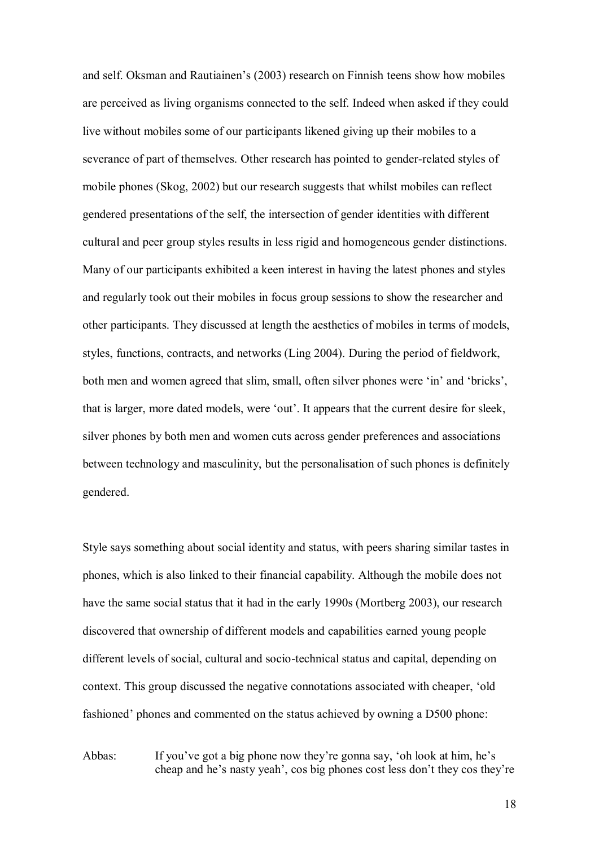and self. Oksman and Rautiainen"s (2003) research on Finnish teens show how mobiles are perceived as living organisms connected to the self. Indeed when asked if they could live without mobiles some of our participants likened giving up their mobiles to a severance of part of themselves. Other research has pointed to gender-related styles of mobile phones (Skog, 2002) but our research suggests that whilst mobiles can reflect gendered presentations of the self, the intersection of gender identities with different cultural and peer group styles results in less rigid and homogeneous gender distinctions. Many of our participants exhibited a keen interest in having the latest phones and styles and regularly took out their mobiles in focus group sessions to show the researcher and other participants. They discussed at length the aesthetics of mobiles in terms of models, styles, functions, contracts, and networks (Ling 2004). During the period of fieldwork, both men and women agreed that slim, small, often silver phones were "in" and "bricks", that is larger, more dated models, were "out". It appears that the current desire for sleek, silver phones by both men and women cuts across gender preferences and associations between technology and masculinity, but the personalisation of such phones is definitely gendered.

Style says something about social identity and status, with peers sharing similar tastes in phones, which is also linked to their financial capability. Although the mobile does not have the same social status that it had in the early 1990s (Mortberg 2003), our research discovered that ownership of different models and capabilities earned young people different levels of social, cultural and socio-technical status and capital, depending on context. This group discussed the negative connotations associated with cheaper, "old fashioned' phones and commented on the status achieved by owning a D500 phone:

Abbas: If you've got a big phone now they're gonna say, 'oh look at him, he's cheap and he"s nasty yeah", cos big phones cost less don"t they cos they"re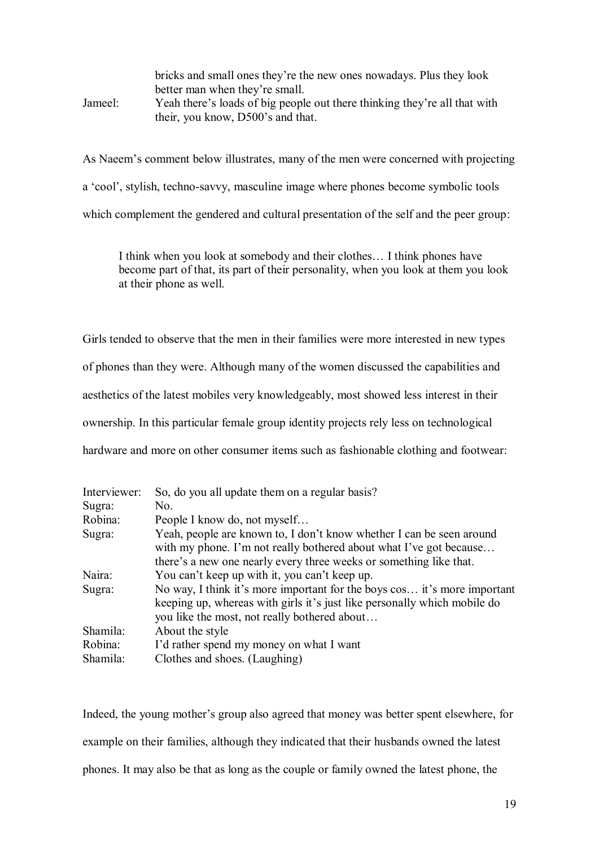bricks and small ones they"re the new ones nowadays. Plus they look better man when they're small. Jameel: Yeah there"s loads of big people out there thinking they"re all that with their, you know, D500"s and that.

As Naeem"s comment below illustrates, many of the men were concerned with projecting a "cool", stylish, techno-savvy, masculine image where phones become symbolic tools which complement the gendered and cultural presentation of the self and the peer group:

I think when you look at somebody and their clothes… I think phones have become part of that, its part of their personality, when you look at them you look at their phone as well.

Girls tended to observe that the men in their families were more interested in new types of phones than they were. Although many of the women discussed the capabilities and aesthetics of the latest mobiles very knowledgeably, most showed less interest in their ownership. In this particular female group identity projects rely less on technological hardware and more on other consumer items such as fashionable clothing and footwear:

| Interviewer: | So, do you all update them on a regular basis?                           |
|--------------|--------------------------------------------------------------------------|
| Sugra:       | No.                                                                      |
| Robina:      | People I know do, not myself                                             |
| Sugra:       | Yeah, people are known to, I don't know whether I can be seen around     |
|              | with my phone. I'm not really bothered about what I've got because       |
|              | there's a new one nearly every three weeks or something like that.       |
| Naira:       | You can't keep up with it, you can't keep up.                            |
| Sugra:       | No way, I think it's more important for the boys cos it's more important |
|              | keeping up, whereas with girls it's just like personally which mobile do |
|              | you like the most, not really bothered about                             |
| Shamila:     | About the style                                                          |
| Robina:      | I'd rather spend my money on what I want                                 |
| Shamila:     | Clothes and shoes. (Laughing)                                            |

Indeed, the young mother"s group also agreed that money was better spent elsewhere, for example on their families, although they indicated that their husbands owned the latest phones. It may also be that as long as the couple or family owned the latest phone, the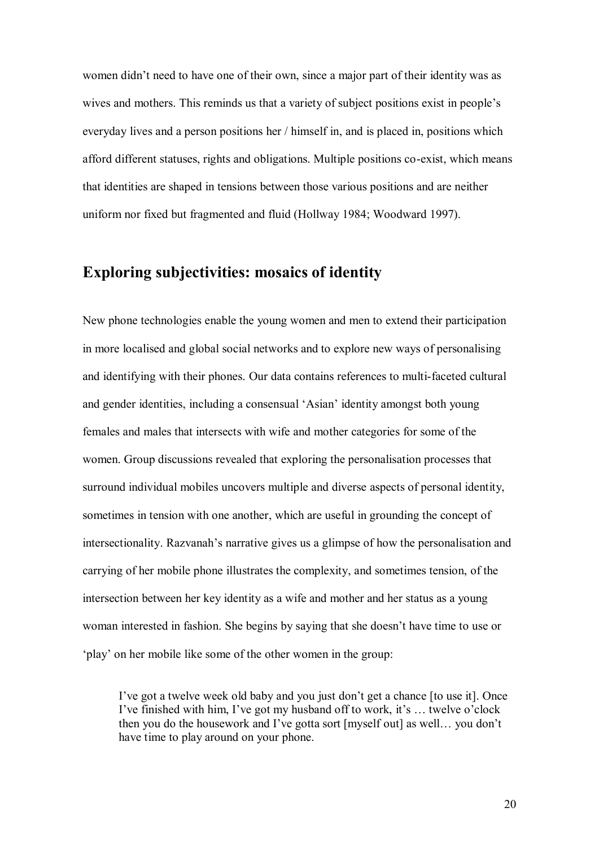women didn"t need to have one of their own, since a major part of their identity was as wives and mothers. This reminds us that a variety of subject positions exist in people's everyday lives and a person positions her / himself in, and is placed in, positions which afford different statuses, rights and obligations. Multiple positions co-exist, which means that identities are shaped in tensions between those various positions and are neither uniform nor fixed but fragmented and fluid (Hollway 1984; Woodward 1997).

## **Exploring subjectivities: mosaics of identity**

New phone technologies enable the young women and men to extend their participation in more localised and global social networks and to explore new ways of personalising and identifying with their phones. Our data contains references to multi-faceted cultural and gender identities, including a consensual "Asian" identity amongst both young females and males that intersects with wife and mother categories for some of the women. Group discussions revealed that exploring the personalisation processes that surround individual mobiles uncovers multiple and diverse aspects of personal identity, sometimes in tension with one another, which are useful in grounding the concept of intersectionality. Razvanah"s narrative gives us a glimpse of how the personalisation and carrying of her mobile phone illustrates the complexity, and sometimes tension, of the intersection between her key identity as a wife and mother and her status as a young woman interested in fashion. She begins by saying that she doesn"t have time to use or "play" on her mobile like some of the other women in the group:

I"ve got a twelve week old baby and you just don"t get a chance [to use it]. Once I've finished with him, I've got my husband off to work, it's ... twelve o'clock then you do the housework and I've gotta sort [myself out] as well... you don't have time to play around on your phone.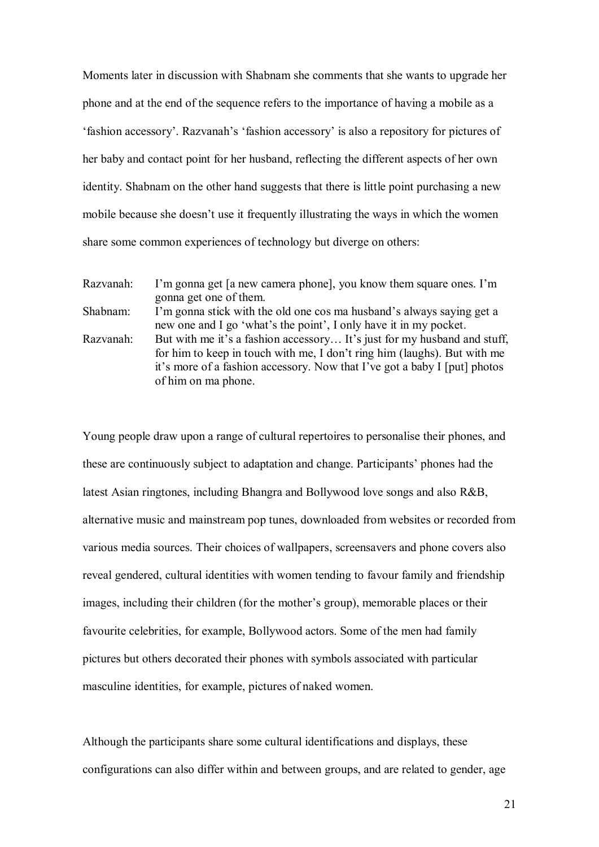Moments later in discussion with Shabnam she comments that she wants to upgrade her phone and at the end of the sequence refers to the importance of having a mobile as a 'fashion accessory'. Razvanah's 'fashion accessory' is also a repository for pictures of her baby and contact point for her husband, reflecting the different aspects of her own identity. Shabnam on the other hand suggests that there is little point purchasing a new mobile because she doesn"t use it frequently illustrating the ways in which the women share some common experiences of technology but diverge on others:

Razvanah: I'm gonna get [a new camera phone], you know them square ones. I'm gonna get one of them. Shabnam: I'm gonna stick with the old one cos ma husband's always saying get a new one and I go 'what's the point', I only have it in my pocket. Razvanah: But with me it's a fashion accessory... It's just for my husband and stuff, for him to keep in touch with me, I don"t ring him (laughs). But with me it"s more of a fashion accessory. Now that I"ve got a baby I [put] photos of him on ma phone.

Young people draw upon a range of cultural repertoires to personalise their phones, and these are continuously subject to adaptation and change. Participants" phones had the latest Asian ringtones, including Bhangra and Bollywood love songs and also R&B, alternative music and mainstream pop tunes, downloaded from websites or recorded from various media sources. Their choices of wallpapers, screensavers and phone covers also reveal gendered, cultural identities with women tending to favour family and friendship images, including their children (for the mother"s group), memorable places or their favourite celebrities, for example, Bollywood actors. Some of the men had family pictures but others decorated their phones with symbols associated with particular masculine identities, for example, pictures of naked women.

Although the participants share some cultural identifications and displays, these configurations can also differ within and between groups, and are related to gender, age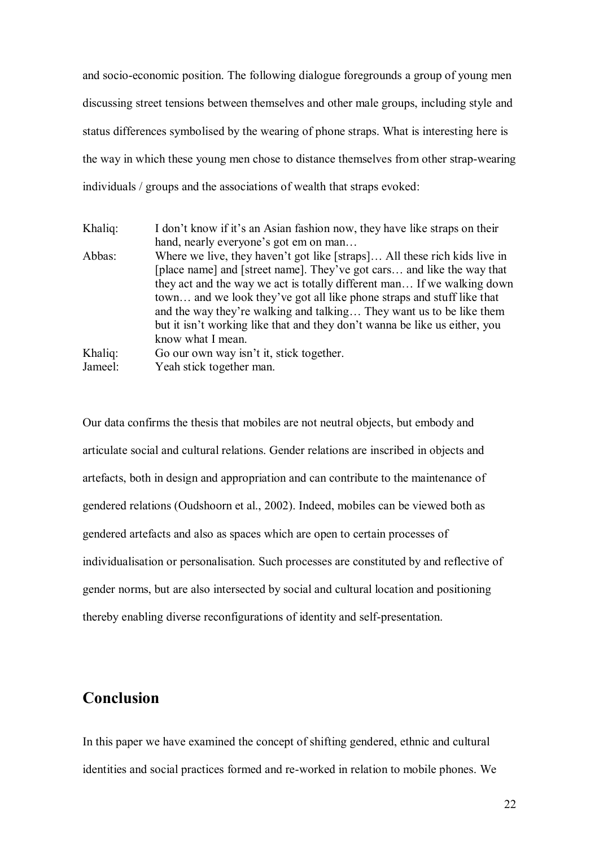and socio-economic position. The following dialogue foregrounds a group of young men discussing street tensions between themselves and other male groups, including style and status differences symbolised by the wearing of phone straps. What is interesting here is the way in which these young men chose to distance themselves from other strap-wearing individuals / groups and the associations of wealth that straps evoked:

| Khaliq: | I don't know if it's an Asian fashion now, they have like straps on their  |
|---------|----------------------------------------------------------------------------|
|         | hand, nearly everyone's got em on man                                      |
| Abbas:  | Where we live, they haven't got like [straps] All these rich kids live in  |
|         | [place name] and [street name]. They've got cars and like the way that     |
|         | they act and the way we act is totally different man If we walking down    |
|         | town and we look they've got all like phone straps and stuff like that     |
|         | and the way they're walking and talking They want us to be like them       |
|         | but it isn't working like that and they don't wanna be like us either, you |
|         | know what I mean.                                                          |
| Khaliq: | Go our own way isn't it, stick together.                                   |
| Jameel: | Yeah stick together man.                                                   |

Our data confirms the thesis that mobiles are not neutral objects, but embody and articulate social and cultural relations. Gender relations are inscribed in objects and artefacts, both in design and appropriation and can contribute to the maintenance of gendered relations (Oudshoorn et al., 2002). Indeed, mobiles can be viewed both as gendered artefacts and also as spaces which are open to certain processes of individualisation or personalisation. Such processes are constituted by and reflective of gender norms, but are also intersected by social and cultural location and positioning thereby enabling diverse reconfigurations of identity and self-presentation.

#### **Conclusion**

In this paper we have examined the concept of shifting gendered, ethnic and cultural identities and social practices formed and re-worked in relation to mobile phones. We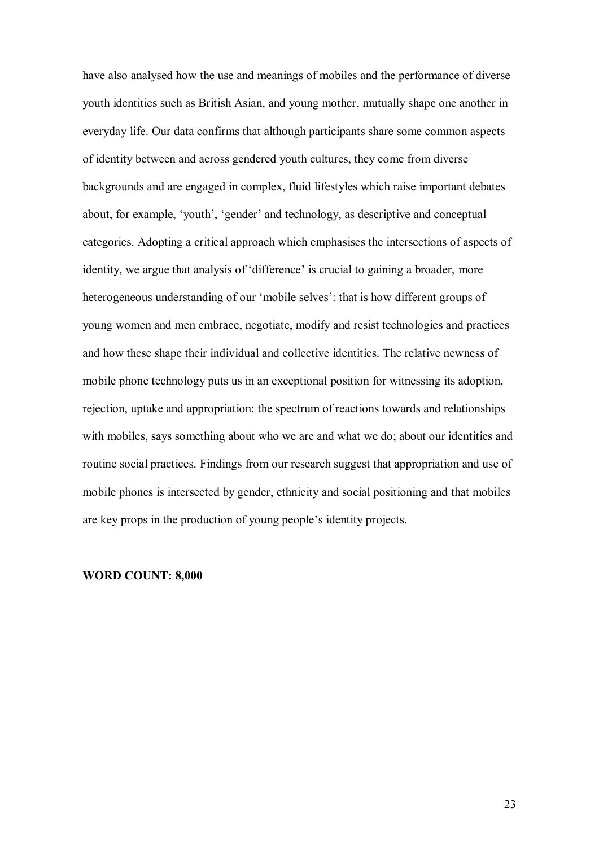have also analysed how the use and meanings of mobiles and the performance of diverse youth identities such as British Asian, and young mother, mutually shape one another in everyday life. Our data confirms that although participants share some common aspects of identity between and across gendered youth cultures, they come from diverse backgrounds and are engaged in complex, fluid lifestyles which raise important debates about, for example, 'youth', 'gender' and technology, as descriptive and conceptual categories. Adopting a critical approach which emphasises the intersections of aspects of identity, we argue that analysis of 'difference' is crucial to gaining a broader, more heterogeneous understanding of our 'mobile selves': that is how different groups of young women and men embrace, negotiate, modify and resist technologies and practices and how these shape their individual and collective identities. The relative newness of mobile phone technology puts us in an exceptional position for witnessing its adoption, rejection, uptake and appropriation: the spectrum of reactions towards and relationships with mobiles, says something about who we are and what we do; about our identities and routine social practices. Findings from our research suggest that appropriation and use of mobile phones is intersected by gender, ethnicity and social positioning and that mobiles are key props in the production of young people"s identity projects.

#### **WORD COUNT: 8,000**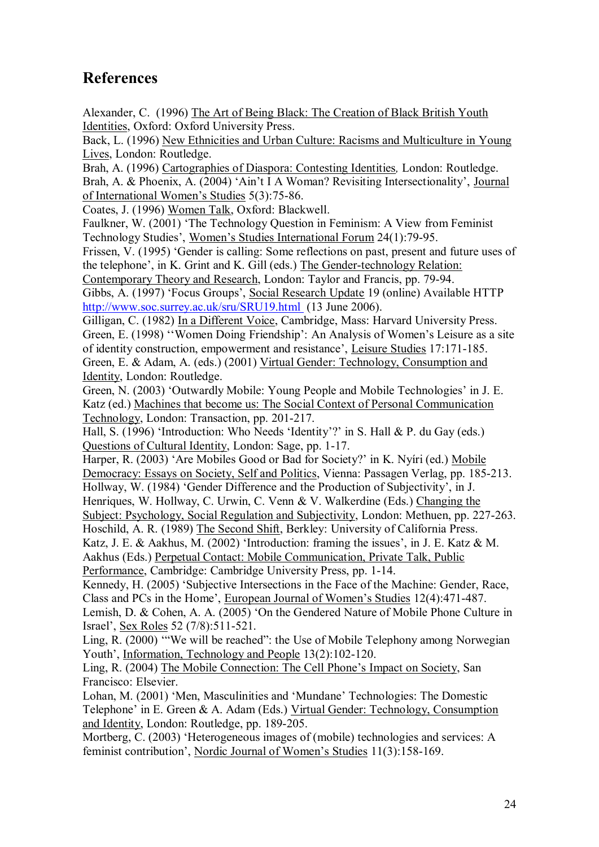# **References**

Alexander, C. (1996) The Art of Being Black: The Creation of Black British Youth Identities, Oxford: Oxford University Press.

Back, L. (1996) New Ethnicities and Urban Culture: Racisms and Multiculture in Young Lives, London: Routledge.

Brah, A. (1996) Cartographies of Diaspora: Contesting Identities*,* London: Routledge. Brah, A. & Phoenix, A. (2004) 'Ain't I A Woman? Revisiting Intersectionality', Journal of International Women"s Studies 5(3):75-86.

Coates, J. (1996) Women Talk, Oxford: Blackwell.

Faulkner, W. (2001) "The Technology Question in Feminism: A View from Feminist Technology Studies", Women"s Studies International Forum 24(1):79-95.

Frissen, V. (1995) "Gender is calling: Some reflections on past, present and future uses of the telephone", in K. Grint and K. Gill (eds.) The Gender-technology Relation:

Contemporary Theory and Research, London: Taylor and Francis, pp. 79-94.

Gibbs, A. (1997) "Focus Groups", Social Research Update 19 (online) Available HTTP [http://www.soc.surrey.ac.uk/sru/SRU19.html \(13](http://www.soc.surrey.ac.uk/sru/SRU19.html%20(13) June 2006).

Gilligan, C. (1982) In a Different Voice, Cambridge, Mass: Harvard University Press. Green, E. (1998) "Women Doing Friendship": An Analysis of Women's Leisure as a site of identity construction, empowerment and resistance", Leisure Studies 17:171-185. Green, E. & Adam, A. (eds.) (2001) Virtual Gender: Technology, Consumption and Identity, London: Routledge.

Green, N. (2003) "Outwardly Mobile: Young People and Mobile Technologies" in J. E. Katz (ed.) Machines that become us: The Social Context of Personal Communication Technology, London: Transaction, pp. 201-217.

Hall, S. (1996) 'Introduction: Who Needs 'Identity'?' in S. Hall & P. du Gay (eds.) Questions of Cultural Identity, London: Sage, pp. 1-17.

Harper, R. (2003) "Are Mobiles Good or Bad for Society?" in K. Nyíri (ed.) Mobile Democracy: Essays on Society, Self and Politics, Vienna: Passagen Verlag, pp. 185-213. Hollway, W. (1984) "Gender Difference and the Production of Subjectivity", in J. Henriques, W. Hollway, C. Urwin, C. Venn & V. Walkerdine (Eds.) Changing the

Subject: Psychology, Social Regulation and Subjectivity, London: Methuen, pp. 227-263. Hoschild, A. R. (1989) The Second Shift, Berkley: University of California Press.

Katz, J. E. & Aakhus, M. (2002) 'Introduction: framing the issues', in J. E. Katz & M. Aakhus (Eds.) Perpetual Contact: Mobile Communication, Private Talk, Public Performance, Cambridge: Cambridge University Press, pp. 1-14.

Kennedy, H. (2005) "Subjective Intersections in the Face of the Machine: Gender, Race, Class and PCs in the Home', European Journal of Women's Studies 12(4):471-487. Lemish, D. & Cohen, A. A. (2005) "On the Gendered Nature of Mobile Phone Culture in

Israel", Sex Roles 52 (7/8):511-521.

Ling, R. (2000) "We will be reached": the Use of Mobile Telephony among Norwegian Youth', Information, Technology and People 13(2):102-120.

Ling, R. (2004) The Mobile Connection: The Cell Phone"s Impact on Society, San Francisco: Elsevier.

Lohan, M. (2001) "Men, Masculinities and "Mundane" Technologies: The Domestic Telephone" in E. Green & A. Adam (Eds.) Virtual Gender: Technology, Consumption and Identity, London: Routledge, pp. 189-205.

Mortberg, C. (2003) "Heterogeneous images of (mobile) technologies and services: A feminist contribution", Nordic Journal of Women"s Studies 11(3):158-169.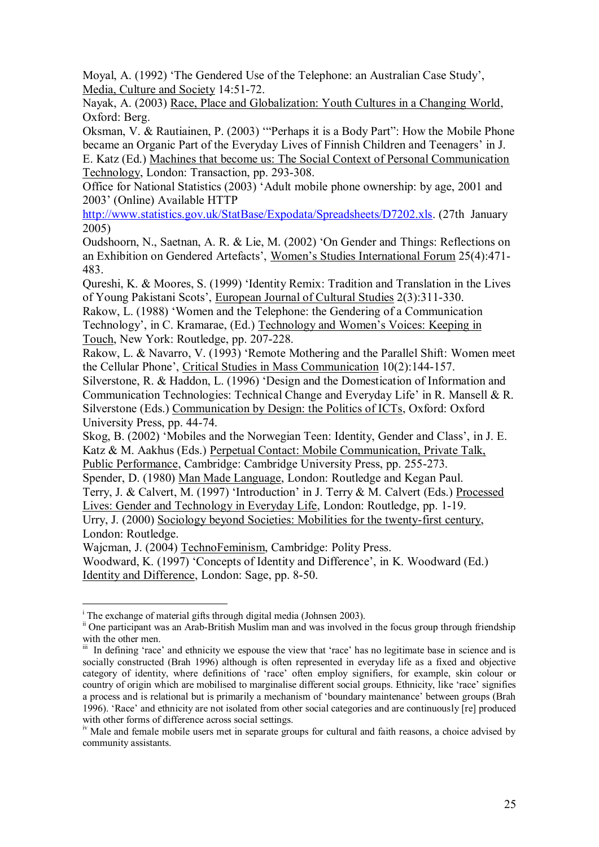Moyal, A. (1992) 'The Gendered Use of the Telephone: an Australian Case Study', Media, Culture and Society 14:51-72.

Nayak, A. (2003) Race, Place and Globalization: Youth Cultures in a Changing World, Oxford: Berg.

Oksman, V. & Rautiainen, P. (2003) ""Perhaps it is a Body Part": How the Mobile Phone became an Organic Part of the Everyday Lives of Finnish Children and Teenagers' in J. E. Katz (Ed.) Machines that become us: The Social Context of Personal Communication

Technology, London: Transaction, pp. 293-308.

Office for National Statistics (2003) "Adult mobile phone ownership: by age, 2001 and 2003" (Online) Available HTTP

[http://www.statistics.gov.uk/StatBase/Expodata/Spreadsheets/D7202.xls.](http://www.statistics.gov.uk/StatBase/Expodata/Spreadsheets/D7202.xls) (27th January 2005)

Oudshoorn, N., Saetnan, A. R. & Lie, M. (2002) "On Gender and Things: Reflections on an Exhibition on Gendered Artefacts", Women"s Studies International Forum 25(4):471- 483.

Qureshi, K. & Moores, S. (1999) "Identity Remix: Tradition and Translation in the Lives of Young Pakistani Scots", European Journal of Cultural Studies 2(3):311-330.

Rakow, L. (1988) "Women and the Telephone: the Gendering of a Communication Technology", in C. Kramarae, (Ed.) Technology and Women"s Voices: Keeping in Touch, New York: Routledge, pp. 207-228.

Rakow, L. & Navarro, V. (1993) "Remote Mothering and the Parallel Shift: Women meet the Cellular Phone", Critical Studies in Mass Communication 10(2):144-157.

Silverstone, R. & Haddon, L. (1996) "Design and the Domestication of Information and Communication Technologies: Technical Change and Everyday Life" in R. Mansell & R. Silverstone (Eds.) Communication by Design: the Politics of ICTs, Oxford: Oxford University Press, pp. 44-74.

Skog, B. (2002) 'Mobiles and the Norwegian Teen: Identity, Gender and Class', in J. E. Katz & M. Aakhus (Eds.) Perpetual Contact: Mobile Communication, Private Talk, Public Performance, Cambridge: Cambridge University Press, pp. 255-273. Spender, D. (1980) Man Made Language, London: Routledge and Kegan Paul. Terry, J. & Calvert, M. (1997) "Introduction" in J. Terry & M. Calvert (Eds.) Processed Lives: Gender and Technology in Everyday Life, London: Routledge, pp. 1-19. Urry, J. (2000) Sociology beyond Societies: Mobilities for the twenty-first century, London: Routledge.

Wajcman, J. (2004) TechnoFeminism, Cambridge: Polity Press.

Woodward, K. (1997) 'Concepts of Identity and Difference', in K. Woodward (Ed.) Identity and Difference, London: Sage, pp. 8-50.

<sup>&</sup>lt;sup>i</sup> The exchange of material gifts through digital media (Johnsen 2003).

ii One participant was an Arab-British Muslim man and was involved in the focus group through friendship with the other men.

iii In defining 'race' and ethnicity we espouse the view that 'race' has no legitimate base in science and is socially constructed (Brah 1996) although is often represented in everyday life as a fixed and objective category of identity, where definitions of "race" often employ signifiers, for example, skin colour or country of origin which are mobilised to marginalise different social groups. Ethnicity, like "race" signifies a process and is relational but is primarily a mechanism of "boundary maintenance" between groups (Brah 1996). "Race" and ethnicity are not isolated from other social categories and are continuously [re] produced with other forms of difference across social settings.

Male and female mobile users met in separate groups for cultural and faith reasons, a choice advised by community assistants.